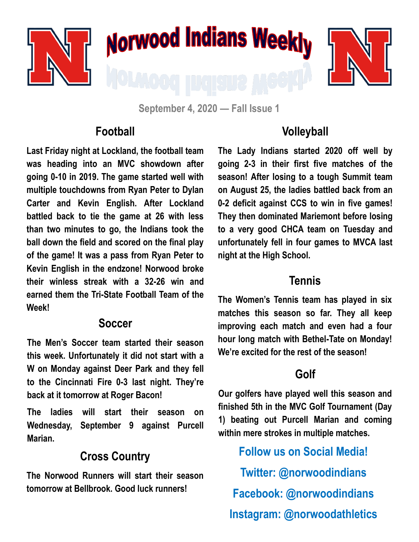

**September 4, 2020 — Fall Issue 1**

#### **Football**

**Last Friday night at Lockland, the football team was heading into an MVC showdown after going 0-10 in 2019. The game started well with multiple touchdowns from Ryan Peter to Dylan Carter and Kevin English. After Lockland battled back to tie the game at 26 with less than two minutes to go, the Indians took the ball down the field and scored on the final play of the game! It was a pass from Ryan Peter to Kevin English in the endzone! Norwood broke their winless streak with a 32-26 win and earned them the Tri-State Football Team of the Week!**

#### **Soccer**

**The Men's Soccer team started their season this week. Unfortunately it did not start with a W on Monday against Deer Park and they fell to the Cincinnati Fire 0-3 last night. They're back at it tomorrow at Roger Bacon!**

**The ladies will start their season on Wednesday, September 9 against Purcell Marian.** 

### **Cross Country**

**The Norwood Runners will start their season tomorrow at Bellbrook. Good luck runners!**

## **Volleyball**

**The Lady Indians started 2020 off well by going 2-3 in their first five matches of the season! After losing to a tough Summit team on August 25, the ladies battled back from an 0-2 deficit against CCS to win in five games! They then dominated Mariemont before losing to a very good CHCA team on Tuesday and unfortunately fell in four games to MVCA last night at the High School.** 

#### **Tennis**

**The Women's Tennis team has played in six matches this season so far. They all keep improving each match and even had a four hour long match with Bethel-Tate on Monday! We're excited for the rest of the season!**

# **Golf**

**Our golfers have played well this season and finished 5th in the MVC Golf Tournament (Day 1) beating out Purcell Marian and coming within mere strokes in multiple matches.** 

**Follow us on Social Media! Twitter: @norwoodindians Facebook: @norwoodindians Instagram: @norwoodathletics**